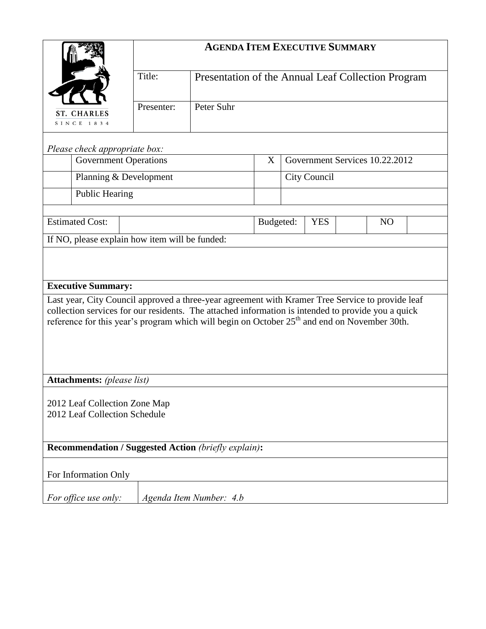|                                                                                                                                                                                                                | <b>AGENDA ITEM EXECUTIVE SUMMARY</b> |                                                    |   |                                           |  |  |  |  |  |
|----------------------------------------------------------------------------------------------------------------------------------------------------------------------------------------------------------------|--------------------------------------|----------------------------------------------------|---|-------------------------------------------|--|--|--|--|--|
|                                                                                                                                                                                                                | Title:                               | Presentation of the Annual Leaf Collection Program |   |                                           |  |  |  |  |  |
| <b>ST. CHARLES</b><br>SINCE 1834                                                                                                                                                                               | Presenter:                           | Peter Suhr                                         |   |                                           |  |  |  |  |  |
| Please check appropriate box:                                                                                                                                                                                  |                                      |                                                    |   |                                           |  |  |  |  |  |
| <b>Government Operations</b>                                                                                                                                                                                   |                                      |                                                    | X | Government Services 10.22.2012            |  |  |  |  |  |
| Planning & Development                                                                                                                                                                                         |                                      |                                                    |   | City Council                              |  |  |  |  |  |
| <b>Public Hearing</b>                                                                                                                                                                                          |                                      |                                                    |   |                                           |  |  |  |  |  |
| <b>Estimated Cost:</b>                                                                                                                                                                                         |                                      |                                                    |   | Budgeted:<br><b>YES</b><br>N <sub>O</sub> |  |  |  |  |  |
| If NO, please explain how item will be funded:                                                                                                                                                                 |                                      |                                                    |   |                                           |  |  |  |  |  |
|                                                                                                                                                                                                                |                                      |                                                    |   |                                           |  |  |  |  |  |
|                                                                                                                                                                                                                |                                      |                                                    |   |                                           |  |  |  |  |  |
| <b>Executive Summary:</b>                                                                                                                                                                                      |                                      |                                                    |   |                                           |  |  |  |  |  |
| Last year, City Council approved a three-year agreement with Kramer Tree Service to provide leaf                                                                                                               |                                      |                                                    |   |                                           |  |  |  |  |  |
| collection services for our residents. The attached information is intended to provide you a quick<br>reference for this year's program which will begin on October 25 <sup>th</sup> and end on November 30th. |                                      |                                                    |   |                                           |  |  |  |  |  |
|                                                                                                                                                                                                                |                                      |                                                    |   |                                           |  |  |  |  |  |
|                                                                                                                                                                                                                |                                      |                                                    |   |                                           |  |  |  |  |  |
|                                                                                                                                                                                                                |                                      |                                                    |   |                                           |  |  |  |  |  |
| <b>Attachments:</b> (please list)                                                                                                                                                                              |                                      |                                                    |   |                                           |  |  |  |  |  |
| 2012 Leaf Collection Zone Map                                                                                                                                                                                  |                                      |                                                    |   |                                           |  |  |  |  |  |
| 2012 Leaf Collection Schedule                                                                                                                                                                                  |                                      |                                                    |   |                                           |  |  |  |  |  |
|                                                                                                                                                                                                                |                                      |                                                    |   |                                           |  |  |  |  |  |
| <b>Recommendation / Suggested Action (briefly explain):</b>                                                                                                                                                    |                                      |                                                    |   |                                           |  |  |  |  |  |
| For Information Only                                                                                                                                                                                           |                                      |                                                    |   |                                           |  |  |  |  |  |
| For office use only:                                                                                                                                                                                           |                                      | Agenda Item Number: 4.b                            |   |                                           |  |  |  |  |  |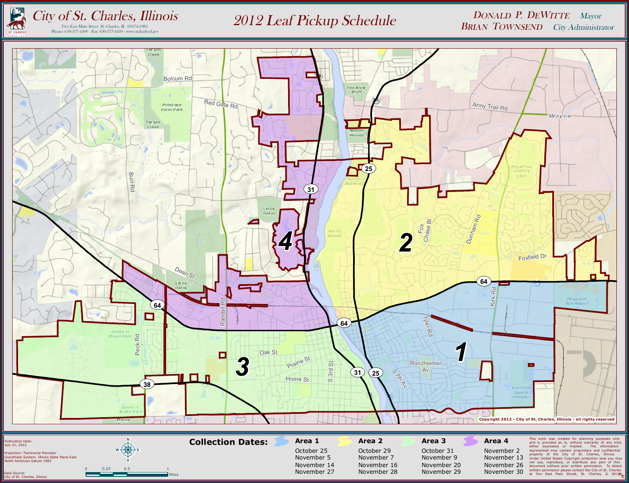

*N K*

Data Source: City of St. Charles, Illinois

Miles